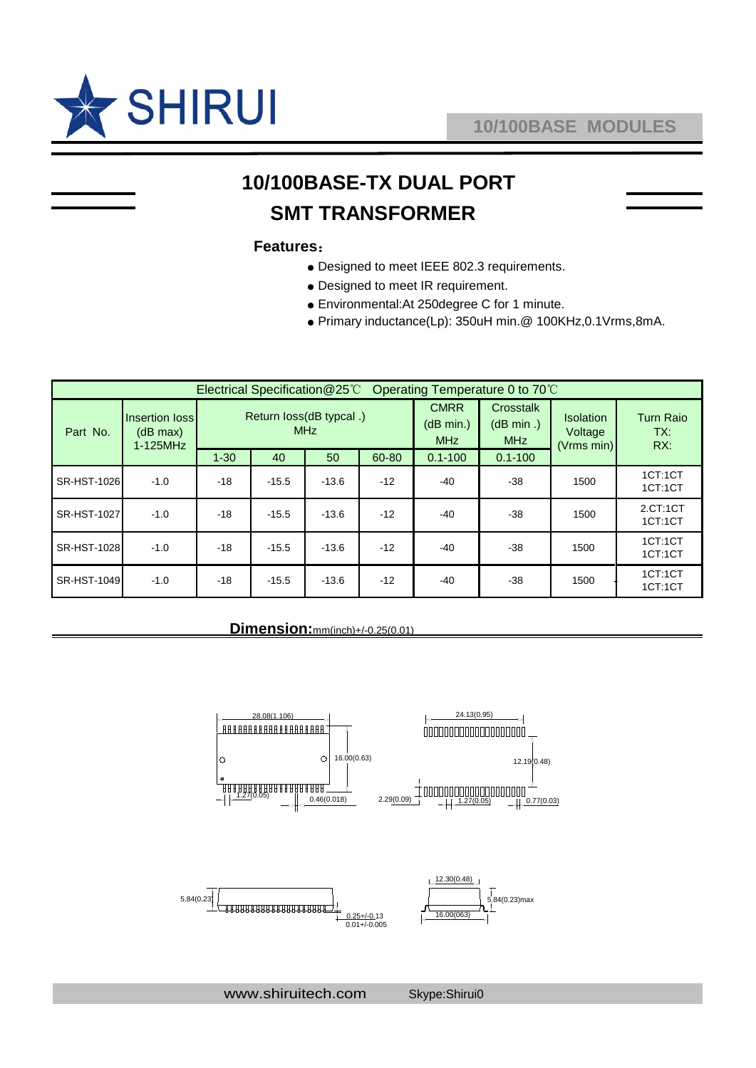

# **10/100BASE-TX DUAL PORT SMT TRANSFORMER**

#### **Features**:

- Designed to meet IEEE 802.3 requirements.
- Designed to meet IR requirement.
- Environmental:At 250degree C for 1 minute.
- Primary inductance(Lp): 350uH min.@ 100KHz,0.1Vrms,8mA.

| Operating Temperature 0 to 70°C<br>Electrical Specification@25°C |                                           |                                        |         |         |       |                                        |                                      |                                    |                                |
|------------------------------------------------------------------|-------------------------------------------|----------------------------------------|---------|---------|-------|----------------------------------------|--------------------------------------|------------------------------------|--------------------------------|
| Part No.                                                         | Insertion loss<br>(dB max)<br>$1-125$ MHz | Return loss(dB typcal .)<br><b>MHz</b> |         |         |       | <b>CMRR</b><br>(dB min.)<br><b>MHz</b> | Crosstalk<br>(dB min.)<br><b>MHz</b> | Isolation<br>Voltage<br>(Vrms min) | <b>Turn Raio</b><br>TX:<br>RX: |
|                                                                  |                                           | $1 - 30$                               | 40      | 50      | 60-80 | $0.1 - 100$                            | $0.1 - 100$                          |                                    |                                |
| SR-HST-1026                                                      | $-1.0$                                    | $-18$                                  | $-15.5$ | $-13.6$ | $-12$ | $-40$                                  | $-38$                                | 1500                               | 1CT:1CT<br>1CT:1CT             |
| SR-HST-1027                                                      | $-1.0$                                    | $-18$                                  | $-15.5$ | $-13.6$ | $-12$ | $-40$                                  | -38                                  | 1500                               | 2.CT:1CT<br>1CT:1CT            |
| SR-HST-1028                                                      | $-1.0$                                    | $-18$                                  | $-15.5$ | $-13.6$ | $-12$ | $-40$                                  | $-38$                                | 1500                               | 1CT:1CT<br>1CT:1CT             |
| SR-HST-1049                                                      | $-1.0$                                    | $-18$                                  | $-15.5$ | $-13.6$ | $-12$ | $-40$                                  | $-38$                                | 1500                               | 1CT:1CT<br>1CT:1CT             |

#### **Dimension:**mm(inch)+/-0.25(0.01)



www.shiruitech.com Skype:Shirui0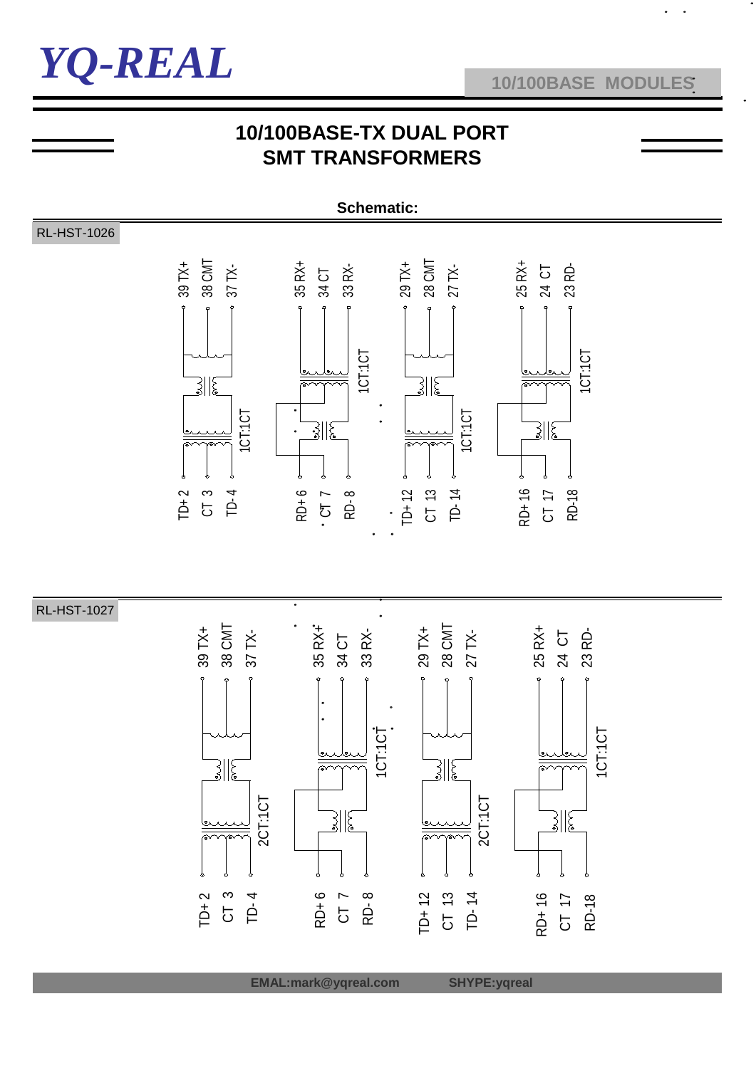

## **10/100BASE-TX DUAL PORT SMT TRANSFORMERS**

**Schematic:**



RL-HST-1027



 **EMAL:mark@yqreal.com SHYPE:yqreal**